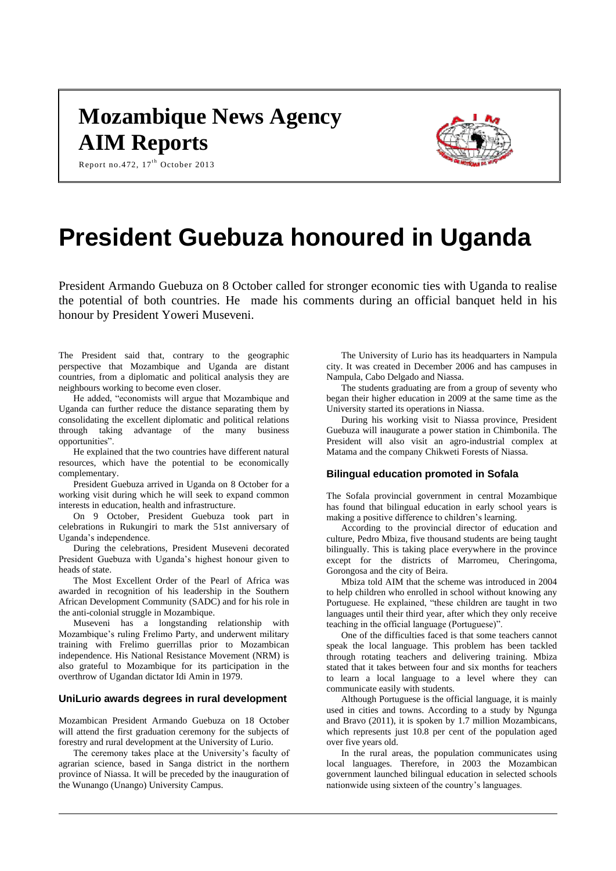# **Mozambique News Agency AIM Reports**



Report no.472,  $17^{\text{th}}$  October 2013

# **President Guebuza honoured in Uganda**

President Armando Guebuza on 8 October called for stronger economic ties with Uganda to realise the potential of both countries. He made his comments during an official banquet held in his honour by President Yoweri Museveni.

The President said that, contrary to the geographic perspective that Mozambique and Uganda are distant countries, from a diplomatic and political analysis they are neighbours working to become even closer.

He added, "economists will argue that Mozambique and Uganda can further reduce the distance separating them by consolidating the excellent diplomatic and political relations through taking advantage of the many business opportunities".

He explained that the two countries have different natural resources, which have the potential to be economically complementary.

President Guebuza arrived in Uganda on 8 October for a working visit during which he will seek to expand common interests in education, health and infrastructure.

On 9 October, President Guebuza took part in celebrations in Rukungiri to mark the 51st anniversary of Uganda's independence.

During the celebrations, President Museveni decorated President Guebuza with Uganda's highest honour given to heads of state.

The Most Excellent Order of the Pearl of Africa was awarded in recognition of his leadership in the Southern African Development Community (SADC) and for his role in the anti-colonial struggle in Mozambique.

Museveni has a longstanding relationship with Mozambique's ruling Frelimo Party, and underwent military training with Frelimo guerrillas prior to Mozambican independence. His National Resistance Movement (NRM) is also grateful to Mozambique for its participation in the overthrow of Ugandan dictator Idi Amin in 1979.

#### **UniLurio awards degrees in rural development**

Mozambican President Armando Guebuza on 18 October will attend the first graduation ceremony for the subjects of forestry and rural development at the University of Lurio.

The ceremony takes place at the University's faculty of agrarian science, based in Sanga district in the northern province of Niassa. It will be preceded by the inauguration of the Wunango (Unango) University Campus.

The University of Lurio has its headquarters in Nampula city. It was created in December 2006 and has campuses in Nampula, Cabo Delgado and Niassa.

The students graduating are from a group of seventy who began their higher education in 2009 at the same time as the University started its operations in Niassa.

During his working visit to Niassa province, President Guebuza will inaugurate a power station in Chimbonila. The President will also visit an agro-industrial complex at Matama and the company Chikweti Forests of Niassa.

### **Bilingual education promoted in Sofala**

The Sofala provincial government in central Mozambique has found that bilingual education in early school years is making a positive difference to children's learning.

According to the provincial director of education and culture, Pedro Mbiza, five thousand students are being taught bilingually. This is taking place everywhere in the province except for the districts of Marromeu, Cheringoma, Gorongosa and the city of Beira.

Mbiza told AIM that the scheme was introduced in 2004 to help children who enrolled in school without knowing any Portuguese. He explained, "these children are taught in two languages until their third year, after which they only receive teaching in the official language (Portuguese)".

One of the difficulties faced is that some teachers cannot speak the local language. This problem has been tackled through rotating teachers and delivering training. Mbiza stated that it takes between four and six months for teachers to learn a local language to a level where they can communicate easily with students.

Although Portuguese is the official language, it is mainly used in cities and towns. According to a study by Ngunga and Bravo (2011), it is spoken by 1.7 million Mozambicans, which represents just 10.8 per cent of the population aged over five years old.

In the rural areas, the population communicates using local languages. Therefore, in 2003 the Mozambican government launched bilingual education in selected schools nationwide using sixteen of the country's languages.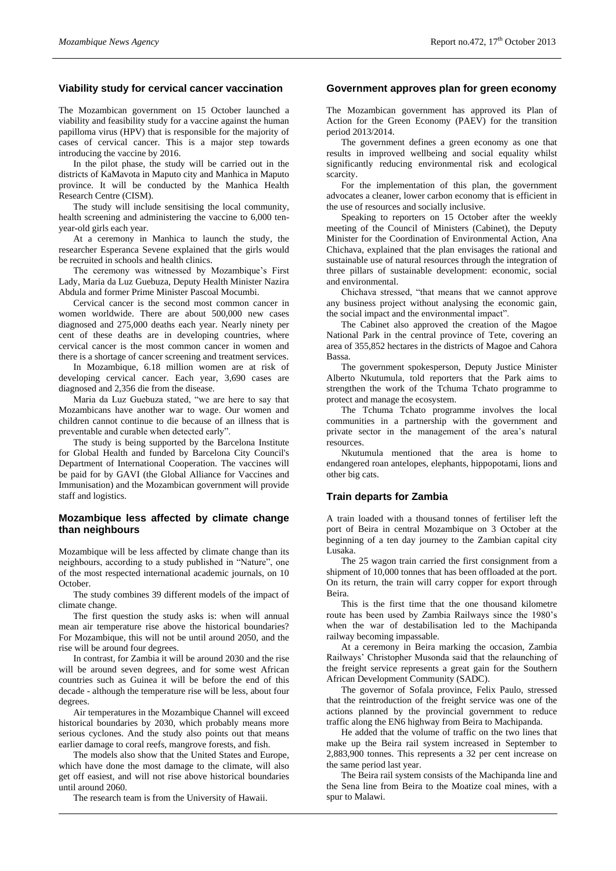## **Viability study for cervical cancer vaccination**

The Mozambican government on 15 October launched a viability and feasibility study for a vaccine against the human papilloma virus (HPV) that is responsible for the majority of cases of cervical cancer. This is a major step towards introducing the vaccine by 2016.

In the pilot phase, the study will be carried out in the districts of KaMavota in Maputo city and Manhica in Maputo province. It will be conducted by the Manhica Health Research Centre (CISM).

The study will include sensitising the local community, health screening and administering the vaccine to 6,000 tenyear-old girls each year.

At a ceremony in Manhica to launch the study, the researcher Esperanca Sevene explained that the girls would be recruited in schools and health clinics.

The ceremony was witnessed by Mozambique's First Lady, Maria da Luz Guebuza, Deputy Health Minister Nazira Abdula and former Prime Minister Pascoal Mocumbi.

Cervical cancer is the second most common cancer in women worldwide. There are about 500,000 new cases diagnosed and 275,000 deaths each year. Nearly ninety per cent of these deaths are in developing countries, where cervical cancer is the most common cancer in women and there is a shortage of cancer screening and treatment services.

In Mozambique, 6.18 million women are at risk of developing cervical cancer. Each year, 3,690 cases are diagnosed and 2,356 die from the disease.

Maria da Luz Guebuza stated, "we are here to say that Mozambicans have another war to wage. Our women and children cannot continue to die because of an illness that is preventable and curable when detected early".

The study is being supported by the Barcelona Institute for Global Health and funded by Barcelona City Council's Department of International Cooperation. The vaccines will be paid for by GAVI (the Global Alliance for Vaccines and Immunisation) and the Mozambican government will provide staff and logistics.

# **Mozambique less affected by climate change than neighbours**

Mozambique will be less affected by climate change than its neighbours, according to a study published in "Nature", one of the most respected international academic journals, on 10 October.

The study combines 39 different models of the impact of climate change.

The first question the study asks is: when will annual mean air temperature rise above the historical boundaries? For Mozambique, this will not be until around 2050, and the rise will be around four degrees.

In contrast, for Zambia it will be around 2030 and the rise will be around seven degrees, and for some west African countries such as Guinea it will be before the end of this decade - although the temperature rise will be less, about four degrees.

Air temperatures in the Mozambique Channel will exceed historical boundaries by 2030, which probably means more serious cyclones. And the study also points out that means earlier damage to coral reefs, mangrove forests, and fish.

The models also show that the United States and Europe, which have done the most damage to the climate, will also get off easiest, and will not rise above historical boundaries until around 2060.

The research team is from the University of Hawaii.

#### **Government approves plan for green economy**

The Mozambican government has approved its Plan of Action for the Green Economy (PAEV) for the transition period 2013/2014.

The government defines a green economy as one that results in improved wellbeing and social equality whilst significantly reducing environmental risk and ecological scarcity.

For the implementation of this plan, the government advocates a cleaner, lower carbon economy that is efficient in the use of resources and socially inclusive.

Speaking to reporters on 15 October after the weekly meeting of the Council of Ministers (Cabinet), the Deputy Minister for the Coordination of Environmental Action, Ana Chichava, explained that the plan envisages the rational and sustainable use of natural resources through the integration of three pillars of sustainable development: economic, social and environmental.

Chichava stressed, "that means that we cannot approve any business project without analysing the economic gain, the social impact and the environmental impact".

The Cabinet also approved the creation of the Magoe National Park in the central province of Tete, covering an area of 355,852 hectares in the districts of Magoe and Cahora Bassa.

The government spokesperson, Deputy Justice Minister Alberto Nkutumula, told reporters that the Park aims to strengthen the work of the Tchuma Tchato programme to protect and manage the ecosystem.

The Tchuma Tchato programme involves the local communities in a partnership with the government and private sector in the management of the area's natural resources.

Nkutumula mentioned that the area is home to endangered roan antelopes, elephants, hippopotami, lions and other big cats.

# **Train departs for Zambia**

A train loaded with a thousand tonnes of fertiliser left the port of Beira in central Mozambique on 3 October at the beginning of a ten day journey to the Zambian capital city Lusaka.

The 25 wagon train carried the first consignment from a shipment of 10,000 tonnes that has been offloaded at the port. On its return, the train will carry copper for export through Beira.

This is the first time that the one thousand kilometre route has been used by Zambia Railways since the 1980's when the war of destabilisation led to the Machipanda railway becoming impassable.

At a ceremony in Beira marking the occasion, Zambia Railways' Christopher Musonda said that the relaunching of the freight service represents a great gain for the Southern African Development Community (SADC).

The governor of Sofala province, Felix Paulo, stressed that the reintroduction of the freight service was one of the actions planned by the provincial government to reduce traffic along the EN6 highway from Beira to Machipanda.

He added that the volume of traffic on the two lines that make up the Beira rail system increased in September to 2,883,900 tonnes. This represents a 32 per cent increase on the same period last year.

The Beira rail system consists of the Machipanda line and the Sena line from Beira to the Moatize coal mines, with a spur to Malawi.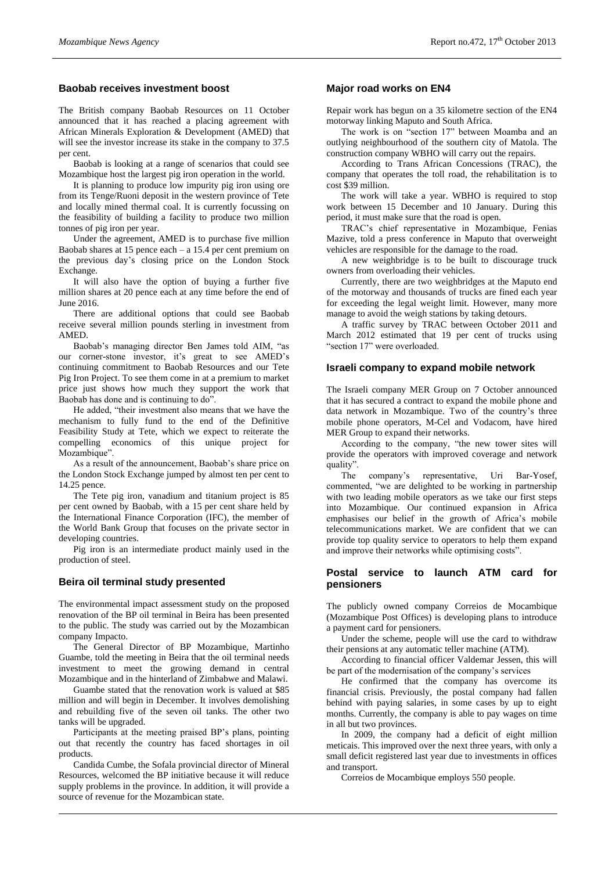#### **Baobab receives investment boost**

The British company Baobab Resources on 11 October announced that it has reached a placing agreement with African Minerals Exploration & Development (AMED) that will see the investor increase its stake in the company to 37.5 per cent.

Baobab is looking at a range of scenarios that could see Mozambique host the largest pig iron operation in the world.

It is planning to produce low impurity pig iron using ore from its Tenge/Ruoni deposit in the western province of Tete and locally mined thermal coal. It is currently focussing on the feasibility of building a facility to produce two million tonnes of pig iron per year.

Under the agreement, AMED is to purchase five million Baobab shares at 15 pence each – a 15.4 per cent premium on the previous day's closing price on the London Stock Exchange.

It will also have the option of buying a further five million shares at 20 pence each at any time before the end of June 2016.

There are additional options that could see Baobab receive several million pounds sterling in investment from AMED.

Baobab's managing director Ben James told AIM, "as our corner-stone investor, it's great to see AMED's continuing commitment to Baobab Resources and our Tete Pig Iron Project. To see them come in at a premium to market price just shows how much they support the work that Baobab has done and is continuing to do".

He added, "their investment also means that we have the mechanism to fully fund to the end of the Definitive Feasibility Study at Tete, which we expect to reiterate the compelling economics of this unique project for Mozambique".

As a result of the announcement, Baobab's share price on the London Stock Exchange jumped by almost ten per cent to 14.25 pence.

The Tete pig iron, vanadium and titanium project is 85 per cent owned by Baobab, with a 15 per cent share held by the International Finance Corporation (IFC), the member of the World Bank Group that focuses on the private sector in developing countries.

Pig iron is an intermediate product mainly used in the production of steel.

#### **Beira oil terminal study presented**

The environmental impact assessment study on the proposed renovation of the BP oil terminal in Beira has been presented to the public. The study was carried out by the Mozambican company Impacto.

The General Director of BP Mozambique, Martinho Guambe, told the meeting in Beira that the oil terminal needs investment to meet the growing demand in central Mozambique and in the hinterland of Zimbabwe and Malawi.

Guambe stated that the renovation work is valued at \$85 million and will begin in December. It involves demolishing and rebuilding five of the seven oil tanks. The other two tanks will be upgraded.

Participants at the meeting praised BP's plans, pointing out that recently the country has faced shortages in oil products.

Candida Cumbe, the Sofala provincial director of Mineral Resources, welcomed the BP initiative because it will reduce supply problems in the province. In addition, it will provide a source of revenue for the Mozambican state.

# **Major road works on EN4**

Repair work has begun on a 35 kilometre section of the EN4 motorway linking Maputo and South Africa.

The work is on "section 17" between Moamba and an outlying neighbourhood of the southern city of Matola. The construction company WBHO will carry out the repairs.

According to Trans African Concessions (TRAC), the company that operates the toll road, the rehabilitation is to cost \$39 million.

The work will take a year. WBHO is required to stop work between 15 December and 10 January. During this period, it must make sure that the road is open.

TRAC's chief representative in Mozambique, Fenias Mazive, told a press conference in Maputo that overweight vehicles are responsible for the damage to the road.

A new weighbridge is to be built to discourage truck owners from overloading their vehicles.

Currently, there are two weighbridges at the Maputo end of the motorway and thousands of trucks are fined each year for exceeding the legal weight limit. However, many more manage to avoid the weigh stations by taking detours.

A traffic survey by TRAC between October 2011 and March 2012 estimated that 19 per cent of trucks using "section 17" were overloaded.

#### **Israeli company to expand mobile network**

The Israeli company MER Group on 7 October announced that it has secured a contract to expand the mobile phone and data network in Mozambique. Two of the country's three mobile phone operators, M-Cel and Vodacom, have hired MER Group to expand their networks.

According to the company, "the new tower sites will provide the operators with improved coverage and network quality".

The company's representative, Uri Bar-Yosef, commented, "we are delighted to be working in partnership with two leading mobile operators as we take our first steps into Mozambique. Our continued expansion in Africa emphasises our belief in the growth of Africa's mobile telecommunications market. We are confident that we can provide top quality service to operators to help them expand and improve their networks while optimising costs".

#### **Postal service to launch ATM card for pensioners**

The publicly owned company Correios de Mocambique (Mozambique Post Offices) is developing plans to introduce a payment card for pensioners.

Under the scheme, people will use the card to withdraw their pensions at any automatic teller machine (ATM).

According to financial officer Valdemar Jessen, this will be part of the modernisation of the company's services

He confirmed that the company has overcome its financial crisis. Previously, the postal company had fallen behind with paying salaries, in some cases by up to eight months. Currently, the company is able to pay wages on time in all but two provinces.

In 2009, the company had a deficit of eight million meticais. This improved over the next three years, with only a small deficit registered last year due to investments in offices and transport.

Correios de Mocambique employs 550 people.